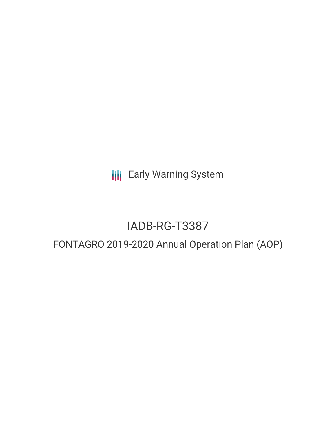**III** Early Warning System

# IADB-RG-T3387

# FONTAGRO 2019-2020 Annual Operation Plan (AOP)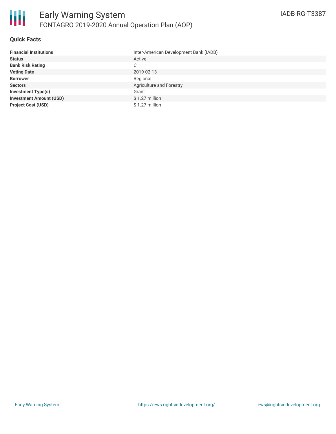## **Quick Facts**

| <b>Financial Institutions</b>  | Inter-American Development Bank (IADB) |
|--------------------------------|----------------------------------------|
| <b>Status</b>                  | Active                                 |
| <b>Bank Risk Rating</b>        | C                                      |
| <b>Voting Date</b>             | 2019-02-13                             |
| <b>Borrower</b>                | Regional                               |
| <b>Sectors</b>                 | Agriculture and Forestry               |
| <b>Investment Type(s)</b>      | Grant                                  |
| <b>Investment Amount (USD)</b> | $$1.27$ million                        |
| <b>Project Cost (USD)</b>      | $$1.27$ million                        |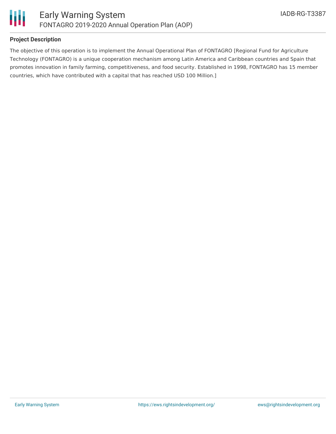

## **Project Description**

The objective of this operation is to implement the Annual Operational Plan of FONTAGRO [Regional Fund for Agriculture Technology (FONTAGRO) is a unique cooperation mechanism among Latin America and Caribbean countries and Spain that promotes innovation in family farming, competitiveness, and food security. Established in 1998, FONTAGRO has 15 member countries, which have contributed with a capital that has reached USD 100 Million.]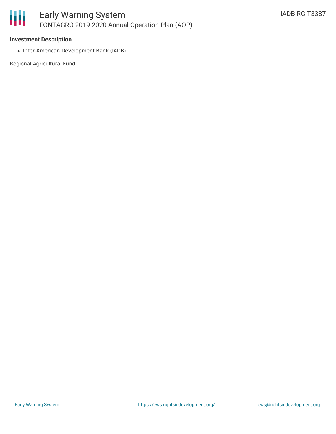#### 圃 Early Warning System FONTAGRO 2019-2020 Annual Operation Plan (AOP)

#### **Investment Description**

• Inter-American Development Bank (IADB)

Regional Agricultural Fund